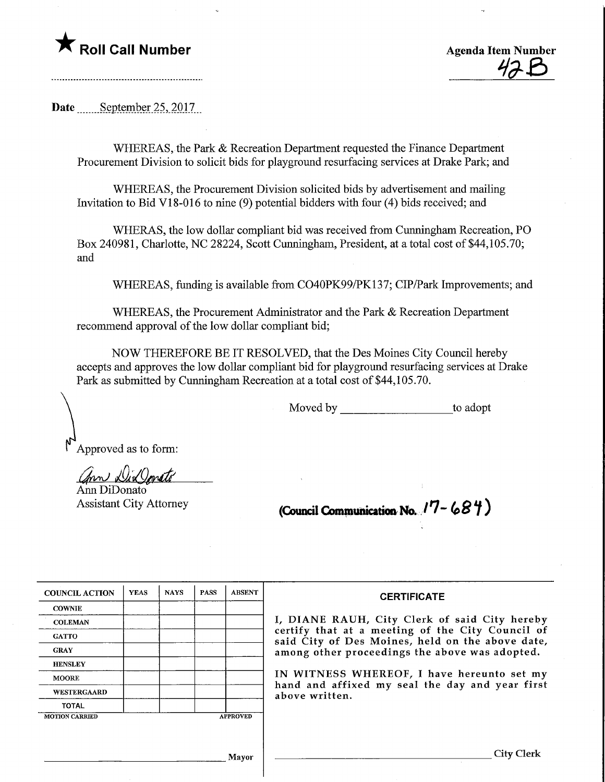## **T** Roll Call Number **Agents** Agenda Item Number



Date ........September 25,2Ql7\_

WHEREAS, the Park & Recreation Department requested the Finance Department Procurement Division to solicit bids for playground resurfacing services at Drake Park; and

WHEREAS, the Procurement Division solicited bids by advertisement and mailing Invitation to Bid VI 8-016 to nine (9) potential bidders with four (4) bids received; and

WHERAS, the low dollar compliant bid was received from Cumingham Recreation, PO Box 240981, Charlotte, NC 28224, Scott Cumingham, President, at a total cost of \$44,105.70; and

WHEREAS, funding is available from C040PK99/PK137; CIP/Park Improvements; and

WHEREAS, the Procurement Administrator and the Park & Recreation Department recommend approval of the low dollar compliant bid;

NOW THEREFORE BE IT RESOLVED, that the Des Moines City Council hereby accepts and approves the low dollar compliant bid for playground resurfacing services at Drake Park as submitted by Cunningham Recreation at a total cost of \$44,105.70.

Moved by to adopt

Approved as to form:

Ann Dix Jonato

Ann DiDonato

Assistant City Attorney **(Council Communication No.**  $/7 - 68\frac{4}{1}$ )

| <b>COUNCIL ACTION</b> | <b>YEAS</b> | <b>NAYS</b> | <b>PASS</b> | <b>ABSENT</b>   | <b>CERTIFICATE</b>                                                                                                                                     |  |  |  |  |  |  |
|-----------------------|-------------|-------------|-------------|-----------------|--------------------------------------------------------------------------------------------------------------------------------------------------------|--|--|--|--|--|--|
| <b>COWNIE</b>         |             |             |             |                 |                                                                                                                                                        |  |  |  |  |  |  |
| <b>COLEMAN</b>        |             |             |             |                 | I, DIANE RAUH, City Clerk of said City hereby                                                                                                          |  |  |  |  |  |  |
| <b>GATTO</b>          |             |             |             |                 | certify that at a meeting of the City Council of<br>said City of Des Moines, held on the above date,<br>among other proceedings the above was adopted. |  |  |  |  |  |  |
| <b>GRAY</b>           |             |             |             |                 |                                                                                                                                                        |  |  |  |  |  |  |
| <b>HENSLEY</b>        |             |             |             |                 |                                                                                                                                                        |  |  |  |  |  |  |
| <b>MOORE</b>          |             |             |             |                 | IN WITNESS WHEREOF, I have hereunto set my<br>hand and affixed my seal the day and year first                                                          |  |  |  |  |  |  |
| WESTERGAARD           |             |             |             |                 | above written.                                                                                                                                         |  |  |  |  |  |  |
| <b>TOTAL</b>          |             |             |             |                 |                                                                                                                                                        |  |  |  |  |  |  |
| <b>MOTION CARRIED</b> |             |             |             | <b>APPROVED</b> |                                                                                                                                                        |  |  |  |  |  |  |
|                       |             |             |             |                 |                                                                                                                                                        |  |  |  |  |  |  |
|                       |             |             |             |                 |                                                                                                                                                        |  |  |  |  |  |  |
|                       |             |             |             | Mavor           | Citv                                                                                                                                                   |  |  |  |  |  |  |